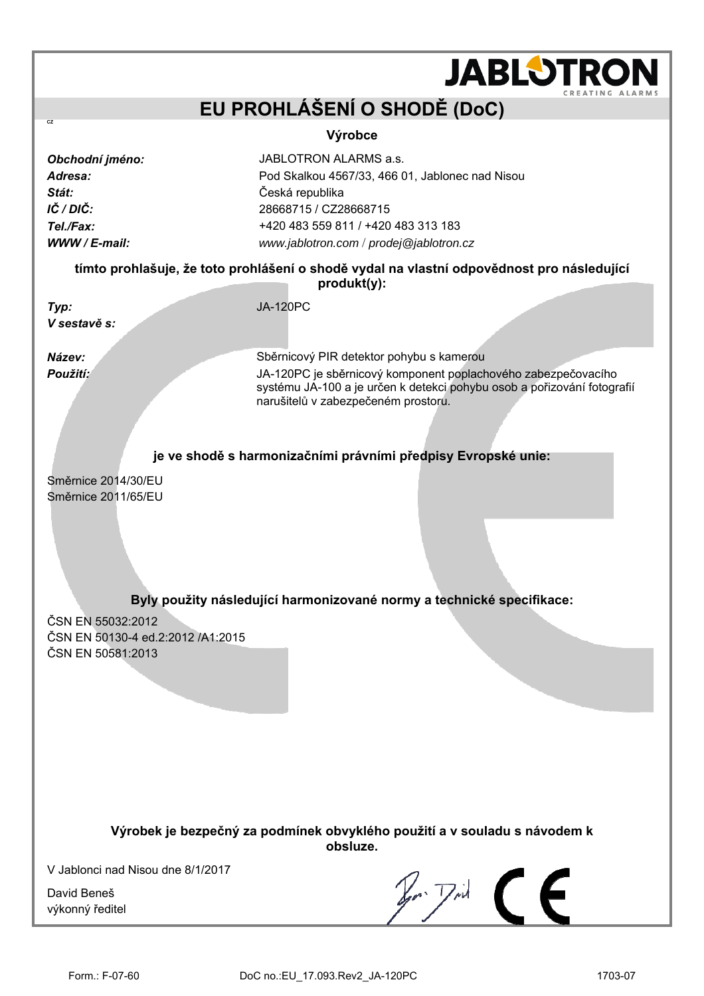|                                                                                                          | <b>JABLOTRO</b>                                                                                                                                                                                                                                                                              |  |  |  |
|----------------------------------------------------------------------------------------------------------|----------------------------------------------------------------------------------------------------------------------------------------------------------------------------------------------------------------------------------------------------------------------------------------------|--|--|--|
|                                                                                                          | CREATING ALA<br>EU PROHLÁŠENÍ O SHODĚ (DoC)                                                                                                                                                                                                                                                  |  |  |  |
| CZ                                                                                                       |                                                                                                                                                                                                                                                                                              |  |  |  |
| Obchodní jméno:<br>Adresa:<br>Stát:<br>IČ / DIČ:<br>Tel./Fax:<br>WWW / E-mail:                           | Výrobce<br>JABLOTRON ALARMS a.s.<br>Pod Skalkou 4567/33, 466 01, Jablonec nad Nisou<br>Česká republika<br>28668715 / CZ28668715<br>+420 483 559 811 / +420 483 313 183<br>www.jablotron.com / prodej@jablotron.cz                                                                            |  |  |  |
| tímto prohlašuje, že toto prohlášení o shodě vydal na vlastní odpovědnost pro následující<br>produkt(y): |                                                                                                                                                                                                                                                                                              |  |  |  |
| Typ:<br>V sestavě s:                                                                                     | <b>JA-120PC</b>                                                                                                                                                                                                                                                                              |  |  |  |
| Název:<br>Použití:                                                                                       | Sběrnicový PIR detektor pohybu s kamerou<br>JA-120PC je sběrnicový komponent poplachového zabezpečovacího<br>systému JA-100 a je určen k detekci pohybu osob a pořizování fotografií<br>narušitelů v zabezpečeném prostoru.<br>je ve shodě s harmonizačními právními předpisy Evropské unie: |  |  |  |
| Směrnice 2014/30/EU<br>Směrnice 2011/65/EU                                                               | Byly použity následující harmonizované normy a technické specifikace:                                                                                                                                                                                                                        |  |  |  |
| ČSN EN 55032:2012<br>ČSN EN 50130-4 ed.2:2012 /A1:2015<br>ČSN EN 50581:2013                              |                                                                                                                                                                                                                                                                                              |  |  |  |
| Výrobek je bezpečný za podmínek obvyklého použití a v souladu s návodem k<br>obsluze.                    |                                                                                                                                                                                                                                                                                              |  |  |  |
| V Jablonci nad Nisou dne 8/1/2017<br>David Beneš<br>výkonný ředitel                                      |                                                                                                                                                                                                                                                                                              |  |  |  |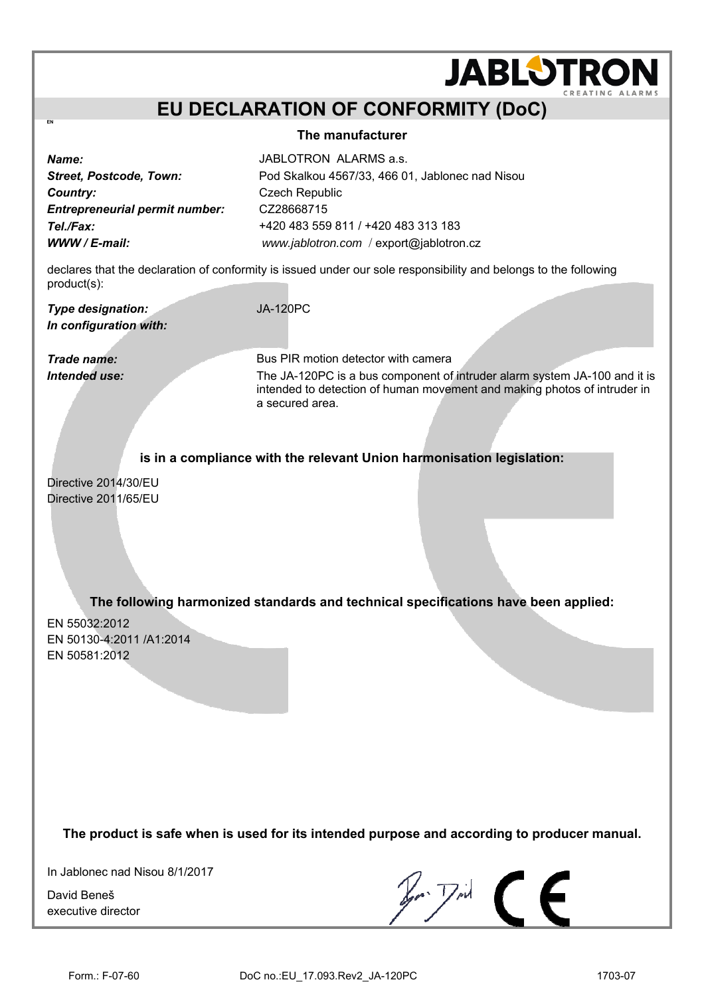## **EU DECLARATION OF CONFORMITY (DoC)**

#### **The manufacturer**

**Country:** Czech Republic *Entrepreneurial permit number:* CZ28668715

*Name:* JABLOTRON ALARMS a.s. *Street, Postcode, Town:* Pod Skalkou 4567/33, 466 01, Jablonec nad Nisou *Tel./Fax:* +420 483 559 811 / +420 483 313 183 *WWW / E-mail: [www.jablotron.com](http://www.jablotron.com/)* / [export@jablotron.cz](mailto:export@jablotron.cz)

declares that the declaration of conformity is issued under our sole responsibility and belongs to the following product(s):

*Type designation:* JA-120PC *In configuration with:* 

**EN**

*Trade name:* Bus PIR motion detector with camera **Intended use:** The JA-120PC is a bus component of intruder alarm system JA-100 and it is intended to detection of human movement and making photos of intruder in a secured area.

**JABLOTROI** 

**is in a compliance with the relevant Union harmonisation legislation:**

Directive 2014/30/EU Directive 2011/65/EU

**The following harmonized standards and technical specifications have been applied:**

EN 55032:2012 EN 50130-4:2011 /A1:2014 EN 50581:2012

**The product is safe when is used for its intended purpose and according to producer manual.**

In Jablonec nad Nisou 8/1/2017

David Beneš executive director

 $\mathbb{Z}$   $\mathbb{Z}$   $\subset$   $\subset$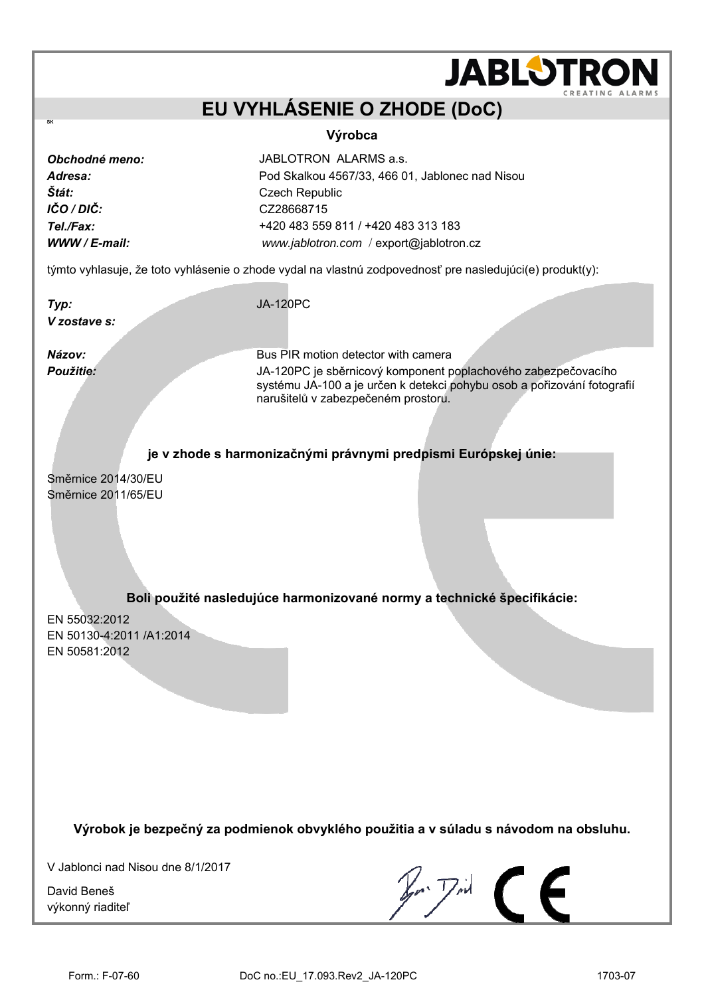# **JABLOTRO EU VYHLÁSENIE O ZHODE (DoC) Výrobca**  *Obchodné meno:* JABLOTRON ALARMS a.s. *Adresa:* Pod Skalkou 4567/33, 466 01, Jablonec nad Nisou *Štát:* Czech Republic *IČO / DIČ:* CZ28668715 *Tel./Fax:* +420 483 559 811 / +420 483 313 183 *WWW / E-mail: [www.jablotron.com](http://www.jablotron.com/)* / [export@jablotron.cz](mailto:export@jablotron.cz) týmto vyhlasuje, že toto vyhlásenie o zhode vydal na vlastnú zodpovednosť pre nasledujúci(e) produkt(y): *Typ:* JA-120PC *V zostave s: Názov:* **Bus PIR motion detector with camera** *Použitie:* JA-120PC je sběrnicový komponent poplachového zabezpečovacího systému JA-100 a je určen k detekci pohybu osob a pořizování fotografií narušitelů v zabezpečeném prostoru. **je v zhode s harmonizačnými právnymi predpismi Európskej únie:** Směrnice 2014/30/EU Směrnice 2011/65/EU **Boli použité nasledujúce harmonizované normy a technické špecifikácie:** EN 55032:2012 EN 50130-4:2011 /A1:2014 EN 50581:2012

**Výrobok je bezpečný za podmienok obvyklého použitia a v súladu s návodom na obsluhu.** 

V Jablonci nad Nisou dne 8/1/2017

David Beneš výkonný riaditeľ

**SK**

 $\mathbb{Z}$   $\mathbb{Z}$   $\subset$   $\subset$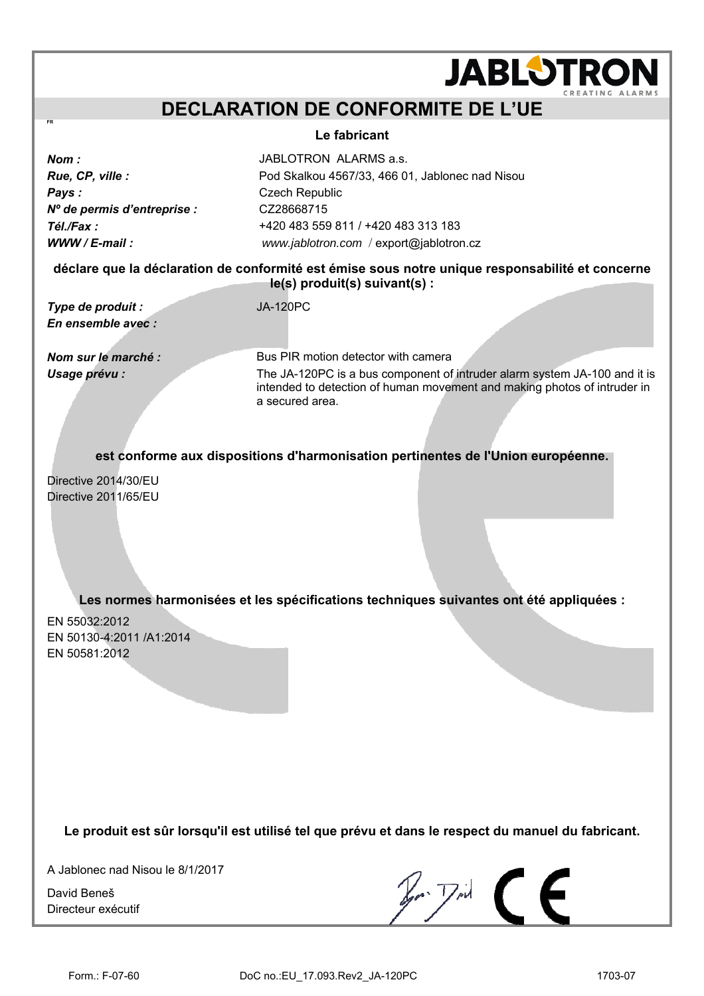## **DECLARATION DE CONFORMITE DE L'UE**

#### **Le fabricant**

| Nom :                      |
|----------------------------|
| Rue, CP, ville :           |
| Pays:                      |
| N° de permis d'entreprise. |
| Tél./Fax :                 |
| $WWW / E-mail$ :           |

JABLOTRON ALARMS a.s. Pod Skalkou 4567/33, 466 01, Jablonec nad Nisou **Czech Republic** *Nº de permis d'entreprise :* CZ28668715 *Tél./Fax :* +420 483 559 811 / +420 483 313 183 *WWW / E-mail : [www.jablotron.com](http://www.jablotron.com/)* / [export@jablotron.cz](mailto:export@jablotron.cz)

**déclare que la déclaration de conformité est émise sous notre unique responsabilité et concerne le(s) produit(s) suivant(s) :**

*Type de produit :* JA-120PC *En ensemble avec :* 

*Nom sur le marché :* Bus PIR motion detector with camera *Usage prévu :* The JA-120PC is a bus component of intruder alarm system JA-100 and it is intended to detection of human movement and making photos of intruder in a secured area.

**JABLOTROI** 

**est conforme aux dispositions d'harmonisation pertinentes de l'Union européenne.** 

Directive 2014/30/EU Directive 2011/65/EU

**Les normes harmonisées et les spécifications techniques suivantes ont été appliquées :**

EN 55032:2012 EN 50130-4:2011 /A1:2014 EN 50581:2012

**Le produit est sûr lorsqu'il est utilisé tel que prévu et dans le respect du manuel du fabricant.** 

A Jablonec nad Nisou le 8/1/2017

David Beneš Directeur exécutif

 $\n *F*$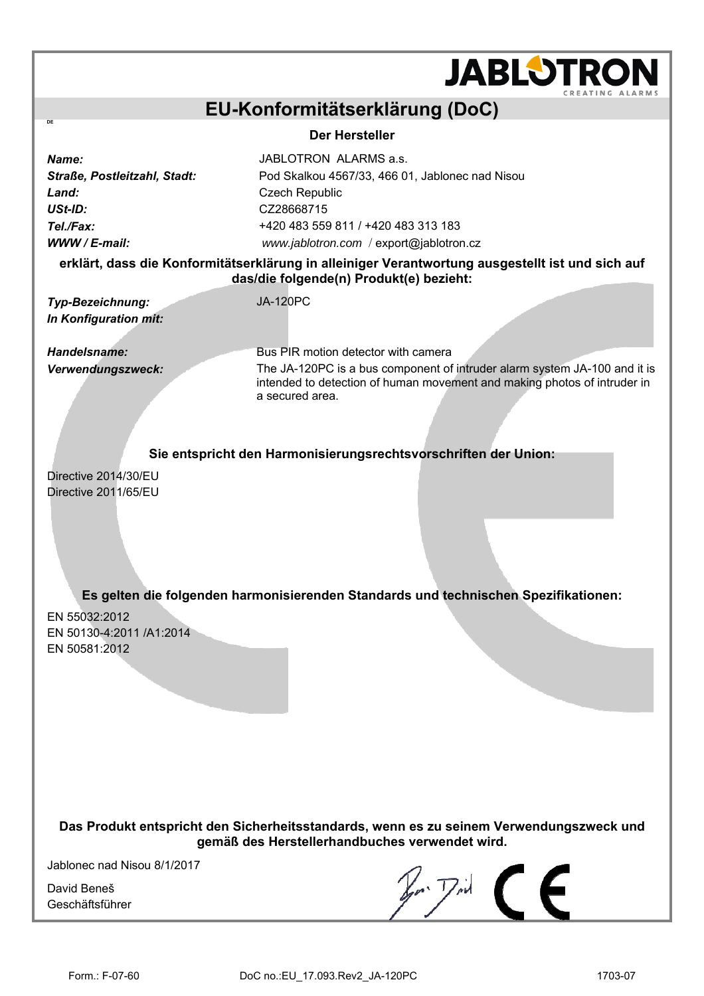

## **EU-Konformitätserklärung (DoC)**

**Der Hersteller** 

*Name:* JABLOTRON ALARMS a.s. Land: **Land:** Czech Republic *USt-ID:* CZ28668715

**DE** 

*Straße, Postleitzahl, Stadt:* Pod Skalkou 4567/33, 466 01, Jablonec nad Nisou *Tel./Fax:* +420 483 559 811 / +420 483 313 183 *WWW / E-mail: [www.jablotron.com](http://www.jablotron.com/)* / [export@jablotron.cz](mailto:export@jablotron.cz)

### **erklärt, dass die Konformitätserklärung in alleiniger Verantwortung ausgestellt ist und sich auf das/die folgende(n) Produkt(e) bezieht:**

*Typ-Bezeichnung:* JA-120PC *In Konfiguration mit:* 

**Handelsname: Bus PIR motion detector with camera** *Verwendungszweck:* The JA-120PC is a bus component of intruder alarm system JA-100 and it is intended to detection of human movement and making photos of intruder in a secured area.

**Sie entspricht den Harmonisierungsrechtsvorschriften der Union:**

Directive 2014/30/EU Directive 2011/65/EU

**Es gelten die folgenden harmonisierenden Standards und technischen Spezifikationen:** 

EN 55032:2012 EN 50130-4:2011 /A1:2014 EN 50581:2012

**Das Produkt entspricht den Sicherheitsstandards, wenn es zu seinem Verwendungszweck und gemäß des Herstellerhandbuches verwendet wird.** 

Jablonec nad Nisou 8/1/2017

David Beneš Geschäftsführer

 $\mathbb{Z}$   $\mathbb{Z}$   $\mathbb{Z}$   $\mathbb{Z}$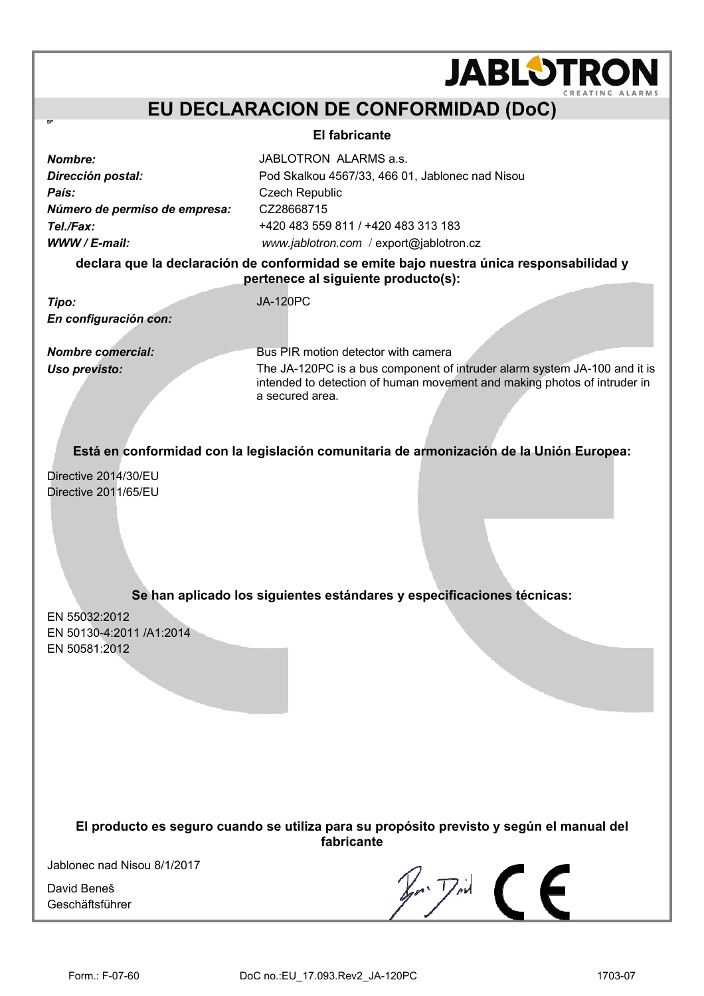## **EU DECLARACION DE CONFORMIDAD (DoC)**

#### **El fabricante**

País: **País:** Czech Republic *Número de permiso de empresa:* CZ28668715

*Nombre:* JABLOTRON ALARMS a.s. *Dirección postal:* Pod Skalkou 4567/33, 466 01, Jablonec nad Nisou *Tel./Fax:* +420 483 559 811 / +420 483 313 183 *WWW / E-mail: [www.jablotron.com](http://www.jablotron.com/)* / [export@jablotron.cz](mailto:export@jablotron.cz)

**declara que la declaración de conformidad se emite bajo nuestra única responsabilidad y pertenece al siguiente producto(s):**

*Tipo:* JA-120PC *En configuración con:* 

**SP** 

*Nombre comercial:* Bus PIR motion detector with camera *Uso previsto:* The JA-120PC is a bus component of intruder alarm system JA-100 and it is intended to detection of human movement and making photos of intruder in a secured area.

**JABLOTRON** 

**Está en conformidad con la legislación comunitaria de armonización de la Unión Europea:**

Directive 2014/30/EU Directive 2011/65/EU

**Se han aplicado los siguientes estándares y especificaciones técnicas:** 

EN 55032:2012 EN 50130-4:2011 /A1:2014 EN 50581:2012

> **El producto es seguro cuando se utiliza para su propósito previsto y según el manual del fabricante**

Jablonec nad Nisou 8/1/2017

David Beneš Geschäftsführer

 $E$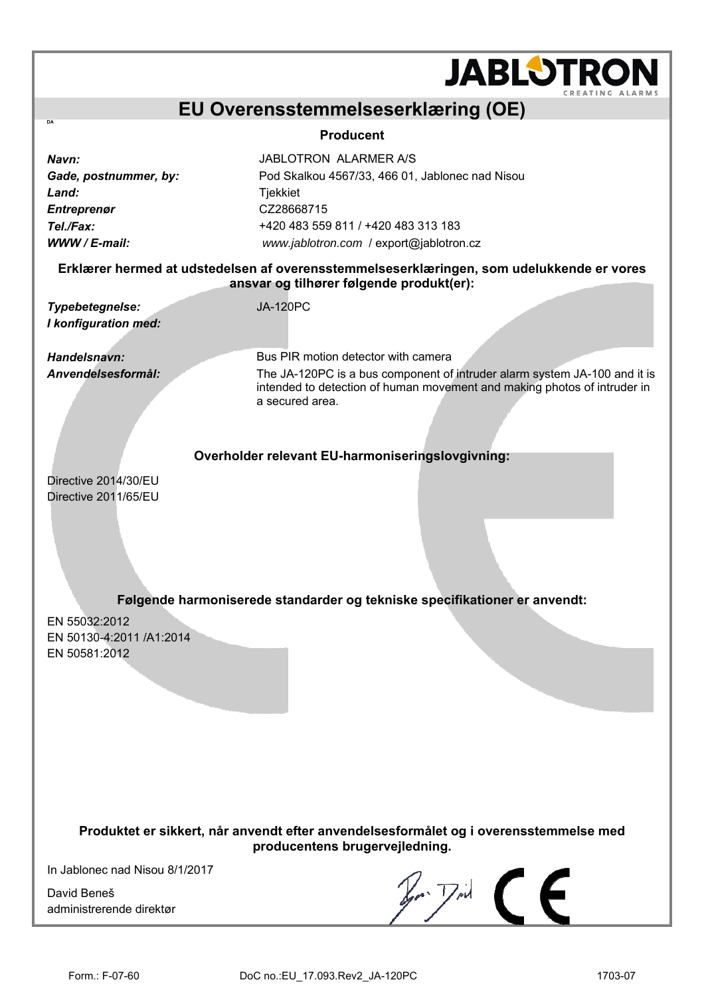|                                                                                             | <b>JABLOTRON</b>                                                                                                                                                                                                             |  |  |  |
|---------------------------------------------------------------------------------------------|------------------------------------------------------------------------------------------------------------------------------------------------------------------------------------------------------------------------------|--|--|--|
|                                                                                             | CREATING ALARMS<br>EU Overensstemmelseserklæring (OE)                                                                                                                                                                        |  |  |  |
| DA<br><b>Producent</b>                                                                      |                                                                                                                                                                                                                              |  |  |  |
| Navn:<br>Gade, postnummer, by:<br>Land:<br><b>Entreprenør</b><br>Tel./Fax:<br>WWW / E-mail: | <b>JABLOTRON ALARMER A/S</b><br>Pod Skalkou 4567/33, 466 01, Jablonec nad Nisou<br>Tjekkiet<br>CZ28668715<br>+420 483 559 811 / +420 483 313 183<br>www.jablotron.com / export@jablotron.cz                                  |  |  |  |
|                                                                                             | Erklærer hermed at udstedelsen af overensstemmelseserklæringen, som udelukkende er vores<br>ansvar og tilhører følgende produkt(er):                                                                                         |  |  |  |
| Typebetegnelse:<br>I konfiguration med:                                                     | <b>JA-120PC</b>                                                                                                                                                                                                              |  |  |  |
| Handelsnavn:                                                                                | Bus PIR motion detector with camera                                                                                                                                                                                          |  |  |  |
| Anvendelsesformål:                                                                          | The JA-120PC is a bus component of intruder alarm system JA-100 and it is<br>intended to detection of human movement and making photos of intruder in<br>a secured area.<br>Overholder relevant EU-harmoniseringslovgivning: |  |  |  |
| Directive 2014/30/EU<br>Directive 2011/65/EU                                                |                                                                                                                                                                                                                              |  |  |  |
|                                                                                             | Følgende harmoniserede standarder og tekniske specifikationer er anvendt:                                                                                                                                                    |  |  |  |
| EN 55032:2012<br>EN 50130-4:2011 /A1:2014<br>EN 50581:2012                                  |                                                                                                                                                                                                                              |  |  |  |

**Produktet er sikkert, når anvendt efter anvendelsesformålet og i overensstemmelse med producentens brugervejledning.** 

In Jablonec nad Nisou 8/1/2017

David Beneš administrerende direktør

 $$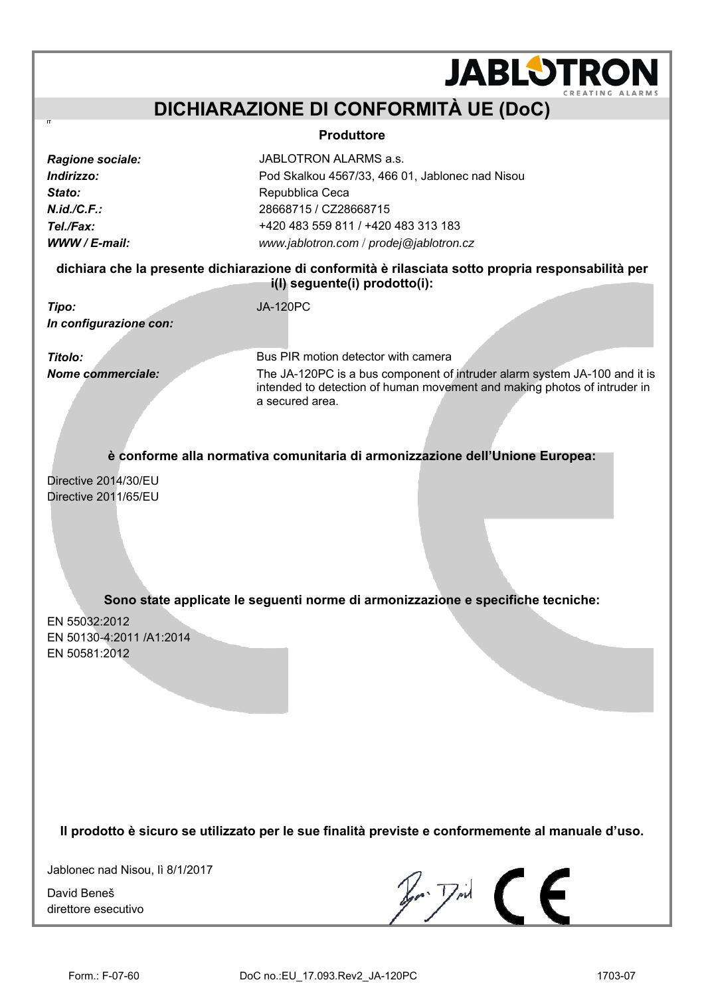## **DICHIARAZIONE DI CONFORMITÀ UE (DoC)**

#### **Produttore**

| Ragione sociale: |
|------------------|
| Indirizzo:       |
| Stato:           |
| N.id./C.F.       |
| Tel./Fax:        |
| WWW / E-mail:    |

**IT**

*Ragione sociale:* JABLOTRON ALARMS a.s. *Indirizzo:* Pod Skalkou 4567/33, 466 01, Jablonec nad Nisou **Repubblica Ceca** *N.id./C.F.:* 28668715 / CZ28668715 *Tel./Fax:* +420 483 559 811 / +420 483 313 183 *WWW / E-mail: [www.jablotron.com](http://www.jablotron.com/)* / *[prodej@jablotron.cz](mailto:prodej@jablotron.cz)*

**dichiara che la presente dichiarazione di conformità è rilasciata sotto propria responsabilità per i(l) seguente(i) prodotto(i):** 

*Tipo:* JA-120PC *In configurazione con:* 

**Titolo: Bus PIR motion detector with camera** *Nome commerciale:* The JA-120PC is a bus component of intruder alarm system JA-100 and it is intended to detection of human movement and making photos of intruder in a secured area.

**JABLOTRON** 

**è conforme alla normativa comunitaria di armonizzazione dell'Unione Europea:** 

Directive 2014/30/EU Directive 2011/65/EU

**Sono state applicate le seguenti norme di armonizzazione e specifiche tecniche:** 

EN 55032:2012 EN 50130-4:2011 /A1:2014 EN 50581:2012

**Il prodotto è sicuro se utilizzato per le sue finalità previste e conformemente al manuale d'uso.** 

Jablonec nad Nisou, lì 8/1/2017

David Beneš direttore esecutivo

 $\n *F*$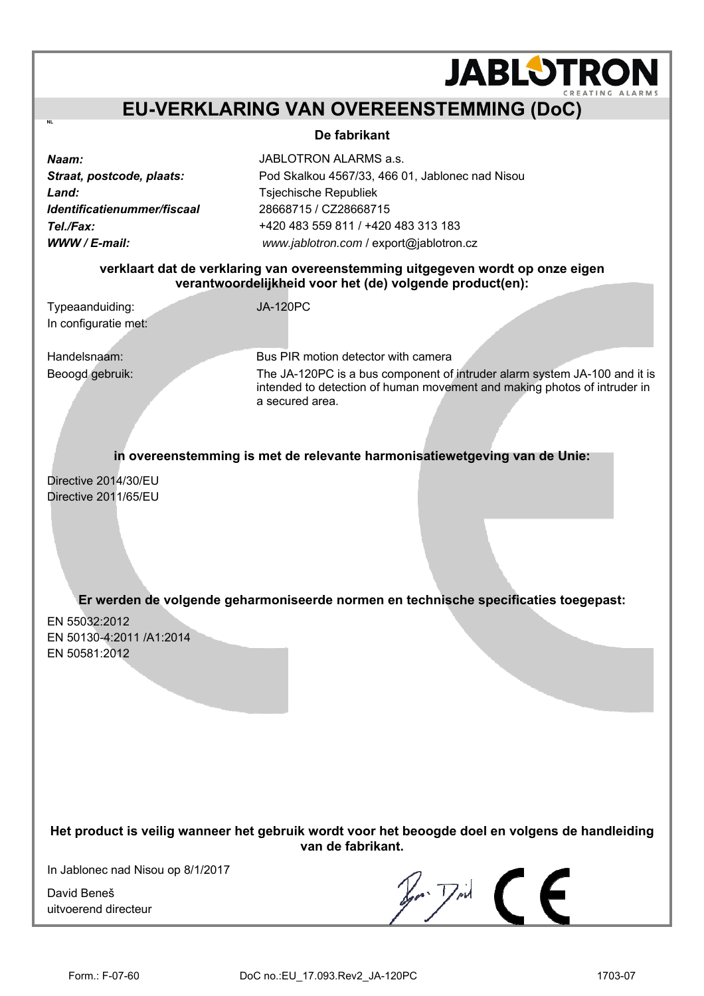## **EU-VERKLARING VAN OVEREENSTEMMING (DoC)**

### **De fabrikant**

*Land:* Tsjechische Republiek *Identificatienummer/fiscaal* 28668715 / CZ28668715

*Naam:* JABLOTRON ALARMS a.s. *Straat, postcode, plaats:* Pod Skalkou 4567/33, 466 01, Jablonec nad Nisou *Tel./Fax:* +420 483 559 811 / +420 483 313 183 *WWW / E-mail: [www.jablotron.com](http://www.jablotron.com/)* / [export@jablotron.cz](mailto:export@jablotron.cz) 

### **verklaart dat de verklaring van overeenstemming uitgegeven wordt op onze eigen verantwoordelijkheid voor het (de) volgende product(en):**

Typeaanduiding: JA-120PC In configuratie met:

**NL**

Handelsnaam: Bus PIR motion detector with camera Beoogd gebruik: The JA-120PC is a bus component of intruder alarm system JA-100 and it is intended to detection of human movement and making photos of intruder in a secured area.

**JABLOTRON** 

**in overeenstemming is met de relevante harmonisatiewetgeving van de Unie:** 

Directive 2014/30/EU Directive 2011/65/EU

## **Er werden de volgende geharmoniseerde normen en technische specificaties toegepast:**

EN 55032:2012 EN 50130-4:2011 /A1:2014 EN 50581:2012

**Het product is veilig wanneer het gebruik wordt voor het beoogde doel en volgens de handleiding van de fabrikant.** 

In Jablonec nad Nisou op 8/1/2017

David Beneš uitvoerend directeur

 $\n *z*$   $\overline{z}$   $\overline{z}$   $\overline{z}$   $\overline{z}$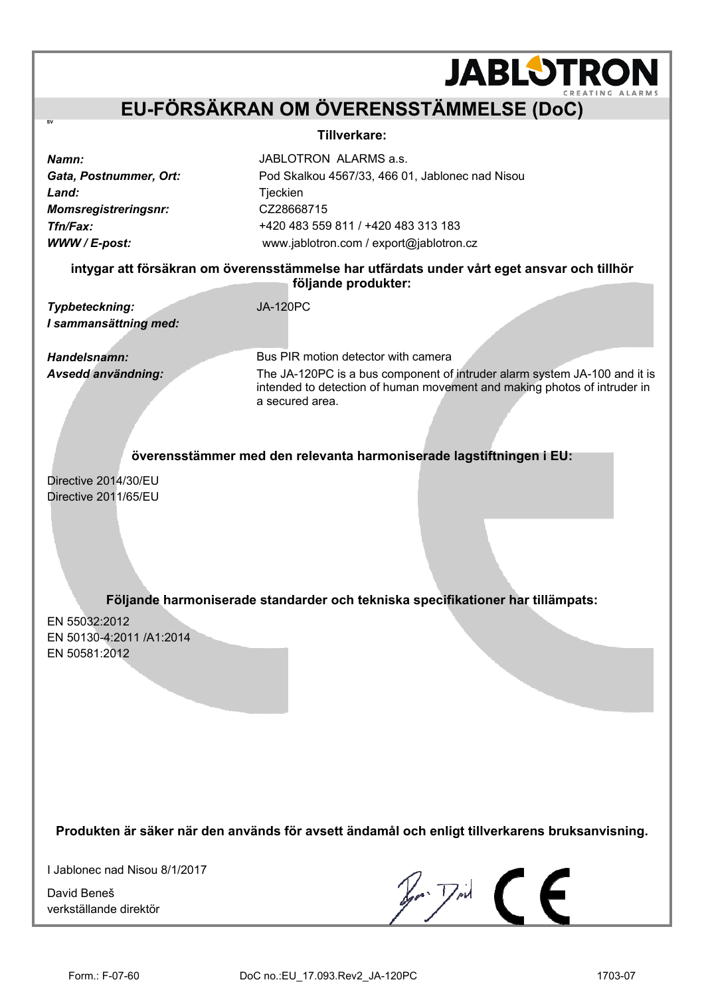## **EU-FÖRSÄKRAN OM ÖVERENSSTÄMMELSE (DoC)**

#### **Tillverkare:**

Land: Tieckien *Momsregistreringsnr:* CZ28668715

**SV** 

*Namn:* JABLOTRON ALARMS a.s. *Gata, Postnummer, Ort:* Pod Skalkou 4567/33, 466 01, Jablonec nad Nisou *Tfn/Fax:* +420 483 559 811 / +420 483 313 183 *WWW / E-post:* www.jablotron.com / export@jablotron.cz

**intygar att försäkran om överensstämmelse har utfärdats under vårt eget ansvar och tillhör följande produkter:** 

*Typbeteckning:* JA-120PC *I sammansättning med:* 

*Handelsnamn:* Bus PIR motion detector with camera *Avsedd användning:* The JA-120PC is a bus component of intruder alarm system JA-100 and it is intended to detection of human movement and making photos of intruder in a secured area.

**JABLOTRON** 

**överensstämmer med den relevanta harmoniserade lagstiftningen i EU:** 

Directive 2014/30/EU Directive 2011/65/EU

**Följande harmoniserade standarder och tekniska specifikationer har tillämpats:** 

EN 55032:2012 EN 50130-4:2011 /A1:2014 EN 50581:2012

**Produkten är säker när den används för avsett ändamål och enligt tillverkarens bruksanvisning.** 

I Jablonec nad Nisou 8/1/2017

David Beneš verkställande direktör

 $\n *z*$   $\overline{z}$   $\overline{z}$   $\overline{z}$   $\overline{z}$   $\overline{z}$   $\overline{z}$   $\overline{z}$   $\overline{z}$   $\overline{z}$   $\overline{z}$   $\overline{z}$   $\overline{z}$   $\overline{z}$   $\overline{z}$   $\overline{z}$   $\overline{z}$   $\overline{z}$   $\overline{z}$   $\overline{z}$   $\overline{z}$   $\overline{z}$   $\overline{z}$   $\overline{z}$   $\$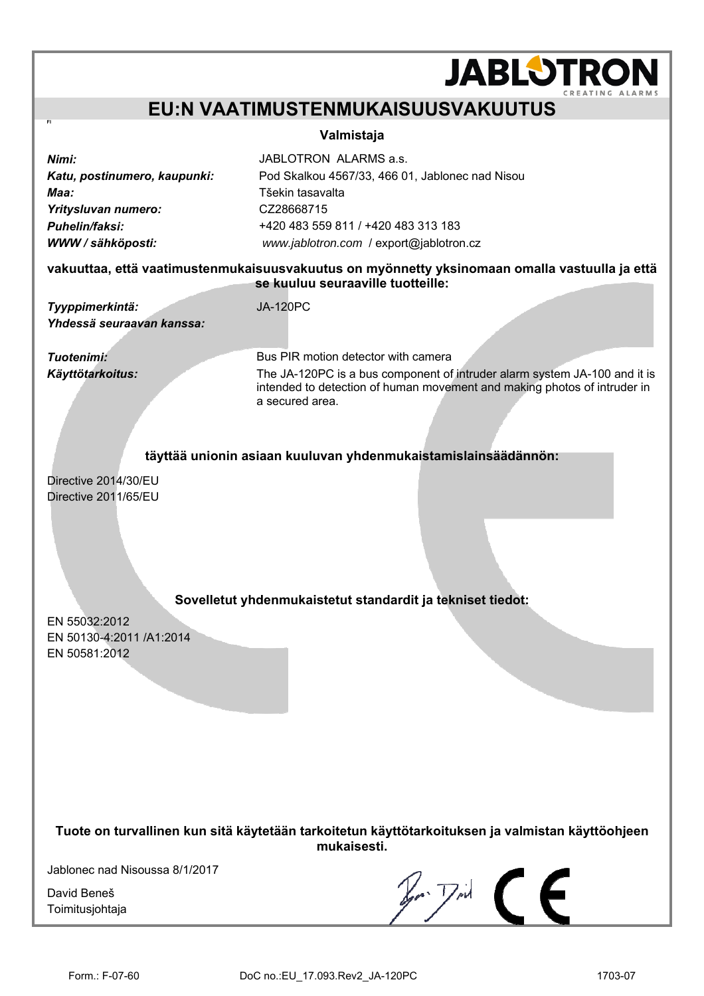## **EU:N VAATIMUSTENMUKAISUUSVAKUUTUS**

#### **Valmistaja**

| Nimi:                                                                   | JABLOTRON ALARMS a.s.                           |  |  |  |
|-------------------------------------------------------------------------|-------------------------------------------------|--|--|--|
| Katu, postinumero, kaupunki:                                            | Pod Skalkou 4567/33, 466 01, Jablonec nad Nisou |  |  |  |
| Maa:                                                                    | Tšekin tasavalta                                |  |  |  |
| Yritysluvan numero:                                                     | CZ28668715                                      |  |  |  |
| Puhelin/faksi:                                                          | +420 483 559 811 / +420 483 313 183             |  |  |  |
| WWW / sähköposti:                                                       | www.jablotron.com / export@jablotron.cz         |  |  |  |
| vakuuttaa, että vaatimustonmukaisuusvakuutus on myönnotty yksinomaan on |                                                 |  |  |  |

**vakuuttaa, että vaatimustenmukaisuusvakuutus on myönnetty yksinomaan omalla vastuulla ja että se kuuluu seuraaville tuotteille:** 

*Tyyppimerkintä:* JA-120PC *Yhdessä seuraavan kanssa:* 

**Tuotenimi: Bus PIR motion detector with camera** *Käyttötarkoitus:* The JA-120PC is a bus component of intruder alarm system JA-100 and it is intended to detection of human movement and making photos of intruder in a secured area.

**JABLOTRON** 

#### **täyttää unionin asiaan kuuluvan yhdenmukaistamislainsäädännön:**

Directive 2014/30/EU Directive 2011/65/EU

### **Sovelletut yhdenmukaistetut standardit ja tekniset tiedot:**

EN 55032:2012 EN 50130-4:2011 /A1:2014 EN 50581:2012

**Tuote on turvallinen kun sitä käytetään tarkoitetun käyttötarkoituksen ja valmistan käyttöohjeen mukaisesti.**

Jablonec nad Nisoussa 8/1/2017

David Beneš Toimitusjohtaja

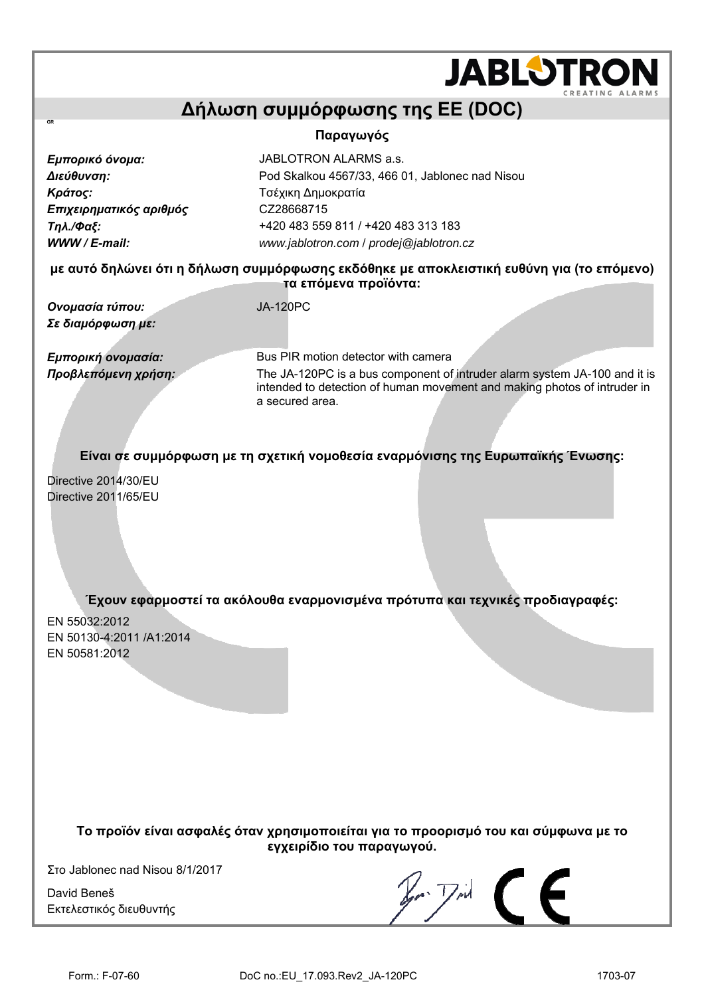## **Δήλωση συμμόρφωσης της ΕΕ (DOC) Παραγωγός**  *Εμπορικό όνομα:* JABLOTRON ALARMS a.s. *Διεύθυνση:* Pod Skalkou 4567/33, 466 01, Jablonec nad Nisou *Κράτος:* Τσέχικη Δημοκρατία *Επιχειρηματικός αριθμός* CZ28668715

**με αυτό δηλώνει ότι η δήλωση συμμόρφωσης εκδόθηκε με αποκλειστική ευθύνη για (το επόμενο) τα επόμενα προϊόντα:** 

*Ονομασία τύπου:* JA-120PC *Σε διαμόρφωση με:* 

**GR**

*Τηλ./Φαξ:* +420 483 559 811 / +420 483 313 183 *WWW / E-mail: [www.jablotron.com](http://www.jablotron.com/)* / *[prodej@jablotron.cz](mailto:prodej@jablotron.cz)*

*Εμπορική ονομασία:* Bus PIR motion detector with camera *Προβλεπόμενη χρήση:* The JA-120PC is a bus component of intruder alarm system JA-100 and it is intended to detection of human movement and making photos of intruder in a secured area.

**JABLOTRO** 

**Είναι σε συμμόρφωση με τη σχετική νομοθεσία εναρμόνισης της Ευρωπαϊκής Ένωσης:** 

Directive 2014/30/EU Directive 2011/65/EU

**Έχουν εφαρμοστεί τα ακόλουθα εναρμονισμένα πρότυπα και τεχνικές προδιαγραφές:** 

EN 55032:2012 EN 50130-4:2011 /A1:2014 EN 50581:2012

> **Το προϊόν είναι ασφαλές όταν χρησιμοποιείται για το προορισμό του και σύμφωνα με το εγχειρίδιο του παραγωγού.**

Στο Jablonec nad Nisou 8/1/2017

David Beneš Εκτελεστικός διευθυντής

 $\mathbb{Z}$   $\mathbb{Z}$   $\subset$   $\subset$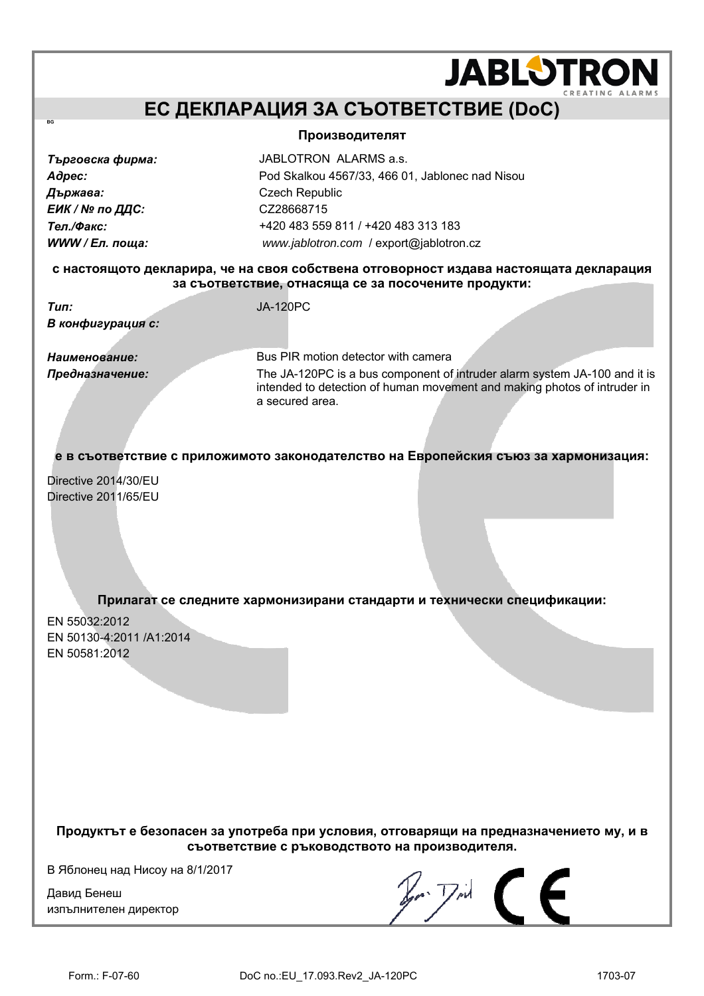## **ЕС ДЕКЛАРАЦИЯ ЗА СЪОТВЕТСТВИЕ (DoC)**

#### **Производителят**

*Държава:* Czech Republic  $E$ ИК / № по ДДС: СZ28668715

**BG** 

*Търговска фирма:* JABLOTRON ALARMS a.s. *Адрес:* Pod Skalkou 4567/33, 466 01, Jablonec nad Nisou *Тел./Факс:* +420 483 559 811 / +420 483 313 183 *WWW / Ел. поща: [www.jablotron.com](http://www.jablotron.com/)* / [export@jablotron.cz](mailto:export@jablotron.cz)

#### **с настоящото декларира, че на своя собствена отговорност издава настоящата декларация за съответствие, отнасяща се за посочените продукти:**

*Тип:* JA-120PC *В конфигурация с:* 

*Наименование:* Bus PIR motion detector with camera *Предназначение:* The JA-120PC is a bus component of intruder alarm system JA-100 and it is intended to detection of human movement and making photos of intruder in a secured area.

**JABLOTRON** 

**е в съответствие с приложимото законодателство на Европейския съюз за хармонизация:** 

Directive 2014/30/EU Directive 2011/65/EU

### **Прилагат се следните хармонизирани стандарти и технически спецификации:**

EN 55032:2012 EN 50130-4:2011 /A1:2014 EN 50581:2012

**Продуктът е безопасен за употреба при условия, отговарящи на предназначението му, и в съответствие с ръководството на производителя.** 

В Яблонец над Нисоу на 8/1/2017

Давид Бенеш изпълнителен директор

 $\mathbb{Z}$   $\mathbb{Z}$   $\subset$   $\subset$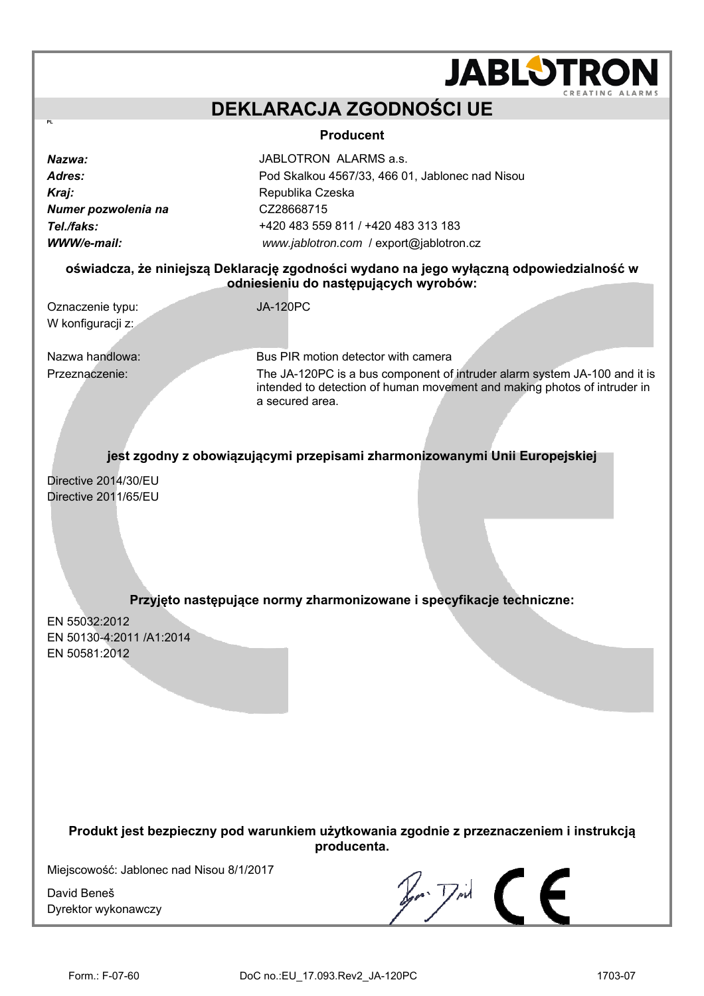## **DEKLARACJA ZGODNOŚCI UE**

### **Producent**

*Kraj:* Republika Czeska *Numer pozwolenia na* CZ28668715

**PL** 

*Nazwa:* JABLOTRON ALARMS a.s. *Adres:* Pod Skalkou 4567/33, 466 01, Jablonec nad Nisou *Tel./faks:* +420 483 559 811 / +420 483 313 183 *WWW/e-mail: [www.jablotron.com](http://www.jablotron.com/)* / [export@jablotron.cz](mailto:export@jablotron.cz)

### **oświadcza, że niniejszą Deklarację zgodności wydano na jego wyłączną odpowiedzialność w odniesieniu do następujących wyrobów:**

Oznaczenie typu: JA-120PC W konfiguracji z:

Nazwa handlowa: Bus PIR motion detector with camera Przeznaczenie: The JA-120PC is a bus component of intruder alarm system JA-100 and it is intended to detection of human movement and making photos of intruder in a secured area.

**JABLOTRO** 

**jest zgodny z obowiązującymi przepisami zharmonizowanymi Unii Europejskiej**

Directive 2014/30/EU Directive 2011/65/EU

### **Przyjęto następujące normy zharmonizowane i specyfikacje techniczne:**

EN 55032:2012 EN 50130-4:2011 /A1:2014 EN 50581:2012

#### **Produkt jest bezpieczny pod warunkiem użytkowania zgodnie z przeznaczeniem i instrukcją producenta.**

Miejscowość: Jablonec nad Nisou 8/1/2017

David Beneš Dyrektor wykonawczy

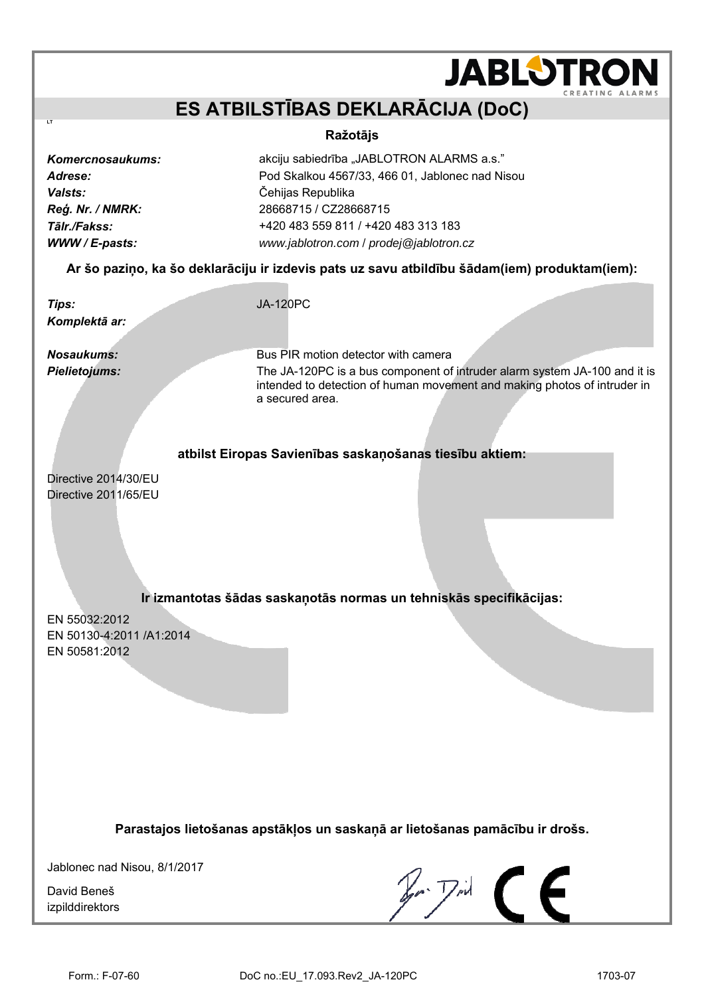## **ES ATBILSTĪBAS DEKLARĀCIJA (DoC)**

### **Ražotājs**

*Valsts:* Čehijas Republika

**LT** 

**Komercnosaukums:** *Absorbaukums:* **akciju sabiedrība "JABLOTRON ALARMS a.s.**" *Adrese:* Pod Skalkou 4567/33, 466 01, Jablonec nad Nisou *Reģ. Nr. / NMRK:* 28668715 / CZ28668715 *Tālr./Fakss:* +420 483 559 811 / +420 483 313 183 *WWW / E-pasts: [www.jablotron.com](http://www.jablotron.com/)* / *[prodej@jablotron.cz](mailto:prodej@jablotron.cz)*

### **Ar šo paziņo, ka šo deklarāciju ir izdevis pats uz savu atbildību šādam(iem) produktam(iem):**

*Tips:* JA-120PC *Komplektā ar:* 

**Nosaukums: Bus PIR motion detector with camera** *Pielietojums:* The JA-120PC is a bus component of intruder alarm system JA-100 and it is intended to detection of human movement and making photos of intruder in a secured area.

**JABLOTROI** 

### **atbilst Eiropas Savienības saskaņošanas tiesību aktiem:**

Directive 2014/30/EU Directive 2011/65/EU

## **Ir izmantotas šādas saskaņotās normas un tehniskās specifikācijas:**

EN 55032:2012 EN 50130-4:2011 /A1:2014 EN 50581:2012

**Parastajos lietošanas apstākļos un saskaņā ar lietošanas pamācību ir drošs.** 

Jablonec nad Nisou, 8/1/2017

David Beneš izpilddirektors

 $\mathbb{Z}$   $\mathbb{Z}$   $\in$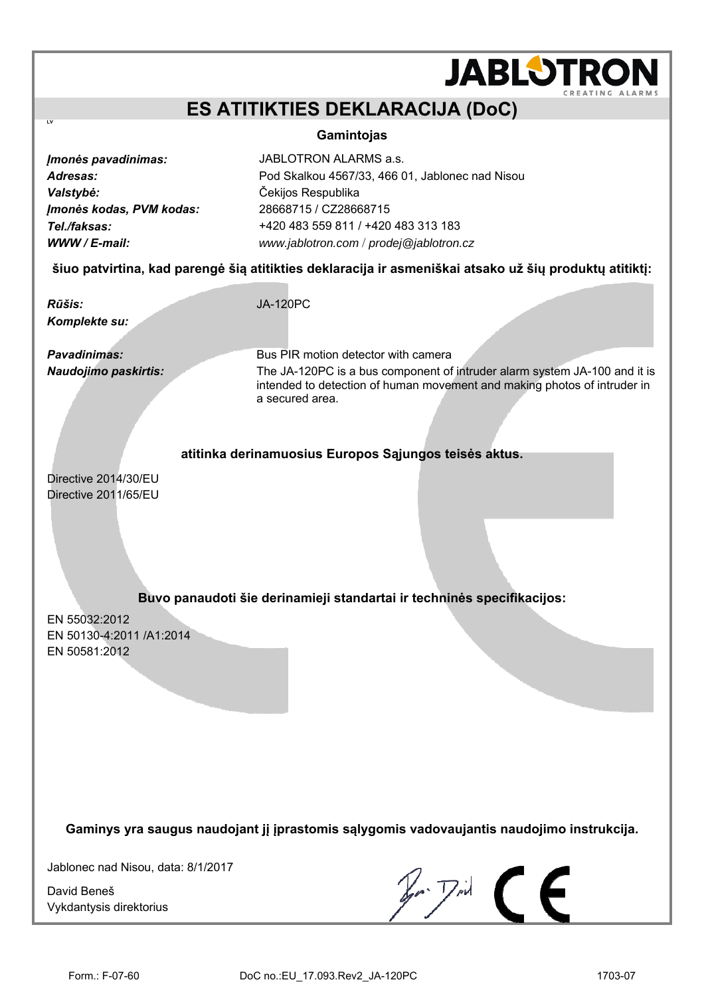## **JABLOTROI ES ATITIKTIES DEKLARACIJA (DoC) Gamintojas**  *Įmonės pavadinimas:* JABLOTRON ALARMS a.s. *Adresas:* Pod Skalkou 4567/33, 466 01, Jablonec nad Nisou *Valstybė:* Čekijos Respublika *Įmonės kodas, PVM kodas:* 28668715 / CZ28668715 *Tel./faksas:* +420 483 559 811 / +420 483 313 183 *WWW / E-mail: [www.jablotron.com](http://www.jablotron.com/)* / *[prodej@jablotron.cz](mailto:prodej@jablotron.cz)* **šiuo patvirtina, kad parengė šią atitikties deklaracija ir asmeniškai atsako už šių produktų atitiktį:**  *Rūšis:* JA-120PC *Komplekte su:*  **Pavadinimas: Bus PIR motion detector with camera** *Naudojimo paskirtis:* The JA-120PC is a bus component of intruder alarm system JA-100 and it is intended to detection of human movement and making photos of intruder in a secured area. **atitinka derinamuosius Europos Sąjungos teisės aktus.**  Directive 2014/30/EU Directive 2011/65/EU

## **Buvo panaudoti šie derinamieji standartai ir techninės specifikacijos:**

EN 55032:2012 EN 50130-4:2011 /A1:2014 EN 50581:2012

**LV** 

**Gaminys yra saugus naudojant jį įprastomis sąlygomis vadovaujantis naudojimo instrukcija.** 

Jablonec nad Nisou, data: 8/1/2017

David Beneš Vykdantysis direktorius

 $\mathbb{Z}$   $\mathbb{Z}$   $\in$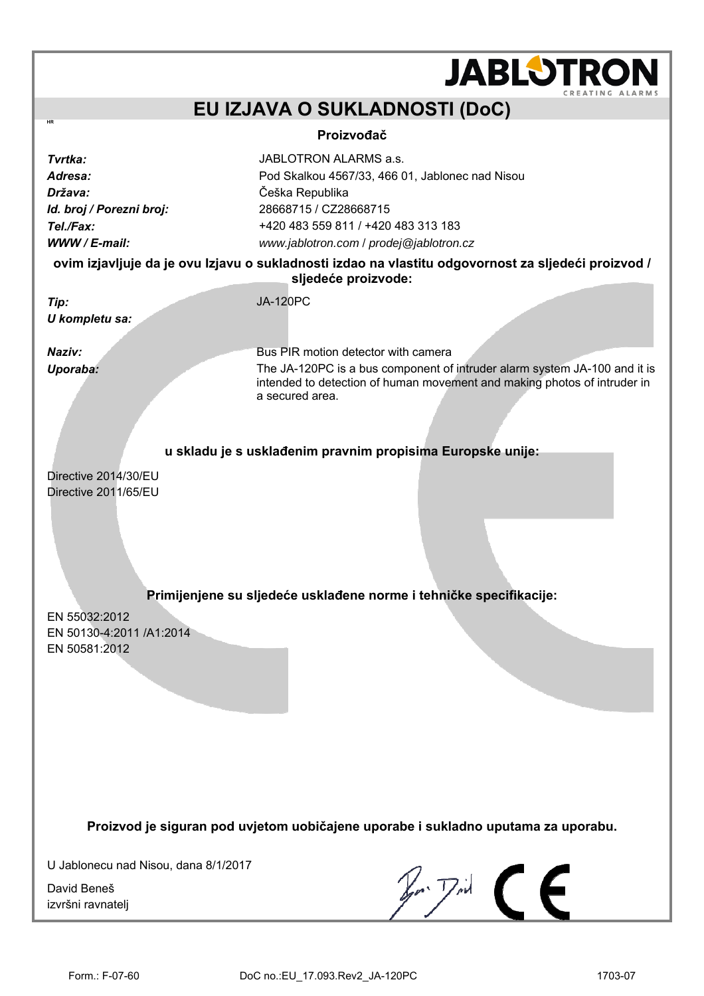|                                                                                                                            | <b>JABLOTRO</b>                                                                                                                                                                                                                                                                                                                    |  |  |  |
|----------------------------------------------------------------------------------------------------------------------------|------------------------------------------------------------------------------------------------------------------------------------------------------------------------------------------------------------------------------------------------------------------------------------------------------------------------------------|--|--|--|
|                                                                                                                            | EU IZJAVA O SUKLADNOSTI (DoC)                                                                                                                                                                                                                                                                                                      |  |  |  |
| HR                                                                                                                         | Proizvođač                                                                                                                                                                                                                                                                                                                         |  |  |  |
| Tvrtka:<br>Adresa:<br>Država:<br>Id. broj / Porezni broj:<br>Tel./Fax:<br>WWW / E-mail:                                    | JABLOTRON ALARMS a.s.<br>Pod Skalkou 4567/33, 466 01, Jablonec nad Nisou<br>Češka Republika<br>28668715 / CZ28668715<br>+420 483 559 811 / +420 483 313 183<br>www.jablotron.com / prodej@jablotron.cz                                                                                                                             |  |  |  |
| ovim izjavljuje da je ovu Izjavu o sukladnosti izdao na vlastitu odgovornost za sljedeći proizvod /<br>sljedeće proizvode: |                                                                                                                                                                                                                                                                                                                                    |  |  |  |
| Tip:<br>U kompletu sa:                                                                                                     | <b>JA-120PC</b>                                                                                                                                                                                                                                                                                                                    |  |  |  |
| Naziv:<br>Uporaba:                                                                                                         | Bus PIR motion detector with camera<br>The JA-120PC is a bus component of intruder alarm system JA-100 and it is<br>intended to detection of human movement and making photos of intruder in<br>a secured area.<br>u skladu je s usklađenim pravnim propisima Europske unije:                                                      |  |  |  |
| Directive 2014/30/EU<br>Directive 2011/65/EU                                                                               |                                                                                                                                                                                                                                                                                                                                    |  |  |  |
| EN 55032:2012<br>EN 50130-4:2011 /A1:2014<br>EN 50581:2012                                                                 | Primijenjene su sljedeće usklađene norme i tehničke specifikacije:                                                                                                                                                                                                                                                                 |  |  |  |
| Proizvod je siguran pod uvjetom uobičajene uporabe i sukladno uputama za uporabu.                                          |                                                                                                                                                                                                                                                                                                                                    |  |  |  |
| U Jablonecu nad Nisou, dana 8/1/2017<br>David Beneš<br>izvršni ravnatelj                                                   | $\mathbb{Z}$ $\mathbb{Z}$ $\mathbb{Z}$ $\mathbb{Z}$ $\mathbb{Z}$ $\mathbb{Z}$ $\mathbb{Z}$ $\mathbb{Z}$ $\mathbb{Z}$ $\mathbb{Z}$ $\mathbb{Z}$ $\mathbb{Z}$ $\mathbb{Z}$ $\mathbb{Z}$ $\mathbb{Z}$ $\mathbb{Z}$ $\mathbb{Z}$ $\mathbb{Z}$ $\mathbb{Z}$ $\mathbb{Z}$ $\mathbb{Z}$ $\mathbb{Z}$ $\mathbb{Z}$ $\mathbb{Z}$ $\mathbb{$ |  |  |  |
|                                                                                                                            |                                                                                                                                                                                                                                                                                                                                    |  |  |  |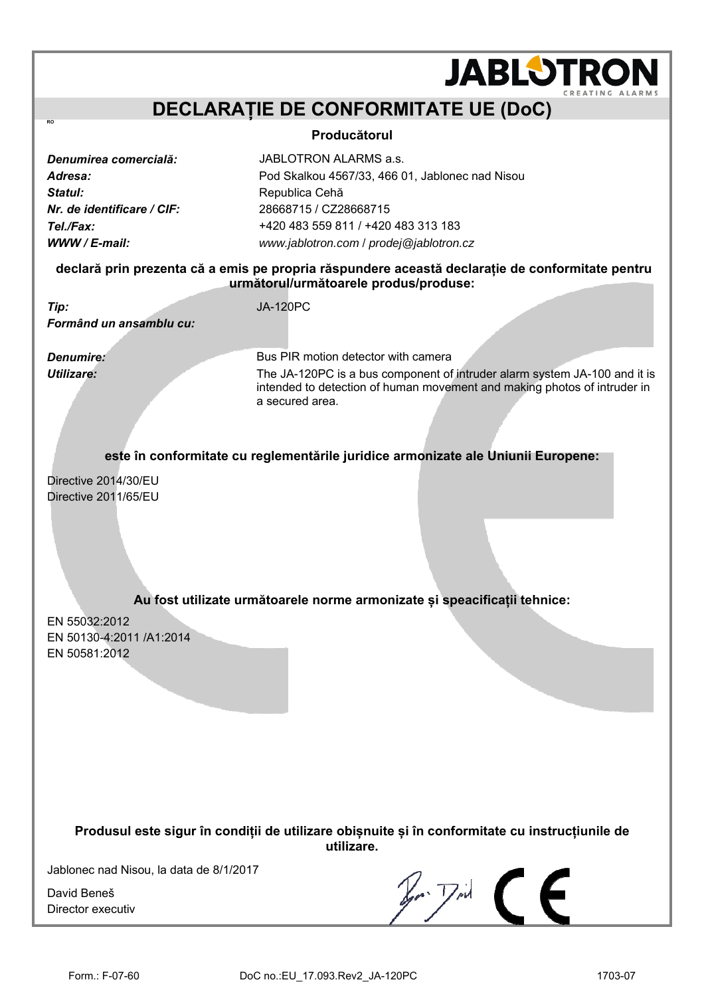## **DECLARAȚIE DE CONFORMITATE UE (DoC)**

#### **Producătorul**

**Statul: Republica Cehă** *Nr. de identificare / CIF:* 28668715 / CZ28668715

*Denumirea comercială:* JABLOTRON ALARMS a.s. *Adresa:* Pod Skalkou 4567/33, 466 01, Jablonec nad Nisou *Tel./Fax:* +420 483 559 811 / +420 483 313 183 *WWW / E-mail: [www.jablotron.com](http://www.jablotron.com/)* / *[prodej@jablotron.cz](mailto:prodej@jablotron.cz)*

### **declară prin prezenta că a emis pe propria răspundere această declarație de conformitate pentru următorul/următoarele produs/produse:**

*Tip:* JA-120PC *Formând un ansamblu cu:* 

 $\overline{R}$ 

**Denumire: Bus PIR motion detector with camera** *Utilizare:* The JA-120PC is a bus component of intruder alarm system JA-100 and it is intended to detection of human movement and making photos of intruder in a secured area.

**JABLOTRON** 

**este în conformitate cu reglementările juridice armonizate ale Uniunii Europene:** 

Directive 2014/30/EU Directive 2011/65/EU

## **Au fost utilizate următoarele norme armonizate și speacificații tehnice:**

EN 55032:2012 EN 50130-4:2011 /A1:2014 EN 50581:2012

> **Produsul este sigur în condiții de utilizare obișnuite și în conformitate cu instrucțiunile de utilizare.**

Jablonec nad Nisou, la data de 8/1/2017

David Beneš Director executiv

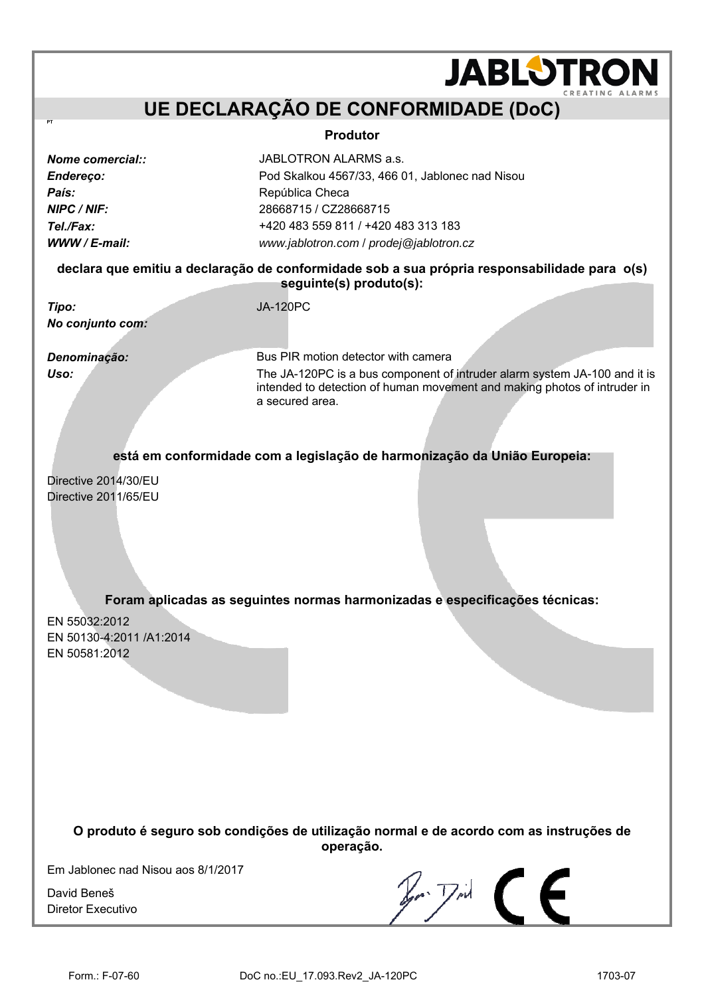## **UE DECLARAÇÃO DE CONFORMIDADE (DoC)**

#### **Produtor**

| <b>Nome comercial::</b> |  |
|-------------------------|--|
| Endereço:               |  |
| País:                   |  |
| NIPC / NIF:             |  |
| Tel./Fax:               |  |
| WWW / E-mail:           |  |

**PT** 

*Nome comercial::* JABLOTRON ALARMS a.s. *Endereço:* Pod Skalkou 4567/33, 466 01, Jablonec nad Nisou *País:* República Checa *NIPC / NIF:* 28668715 / CZ28668715 *Tel./Fax:* +420 483 559 811 / +420 483 313 183 *WWW / E-mail: [www.jablotron.com](http://www.jablotron.com/)* / *[prodej@jablotron.cz](mailto:prodej@jablotron.cz)*

#### **declara que emitiu a declaração de conformidade sob a sua própria responsabilidade para o(s) seguinte(s) produto(s):**

*Tipo:* JA-120PC *No conjunto com:* 

**Denominação: Bus PIR motion detector with camera** *Uso:* The JA-120PC is a bus component of intruder alarm system JA-100 and it is intended to detection of human movement and making photos of intruder in a secured area.

**JABLOTRON** 

**está em conformidade com a legislação de harmonização da União Europeia:** 

Directive 2014/30/EU Directive 2011/65/EU

**Foram aplicadas as seguintes normas harmonizadas e especificações técnicas:** 

EN 55032:2012 EN 50130-4:2011 /A1:2014 EN 50581:2012

> **O produto é seguro sob condições de utilização normal e de acordo com as instruções de operação.**

Em Jablonec nad Nisou aos 8/1/2017

David Beneš Diretor Executivo

 $\n *F*$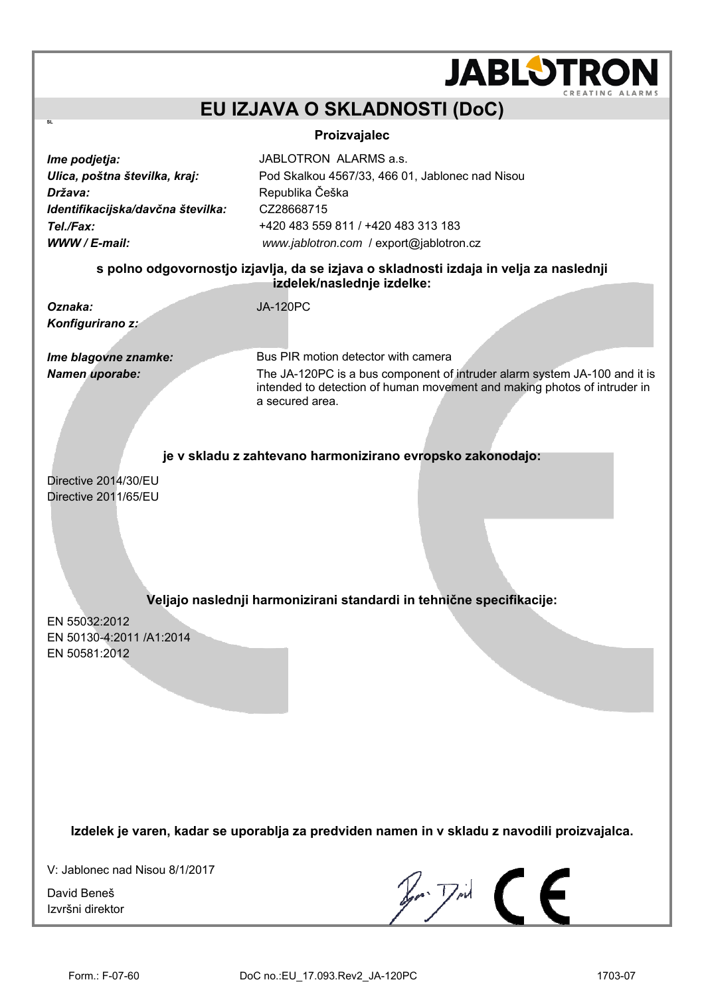## **EU IZJAVA O SKLADNOSTI (DoC)**

### **Proizvajalec**

*Ime podjetja: JABLOTRON ALARMS a.s. Država:* Republika Češka *Identifikacijska/davčna številka:* CZ28668715

*Ulica, poštna številka, kraj:* Pod Skalkou 4567/33, 466 01, Jablonec nad Nisou *Tel./Fax:* +420 483 559 811 / +420 483 313 183 *WWW / E-mail: [www.jablotron.com](http://www.jablotron.com/)* / [export@jablotron.cz](mailto:export@jablotron.cz)

### **s polno odgovornostjo izjavlja, da se izjava o skladnosti izdaja in velja za naslednji izdelek/naslednje izdelke:**

*Oznaka:* JA-120PC *Konfigurirano z:* 

 $\ddot{\mathbf{S}}$ 

*Ime blagovne znamke:* Bus PIR motion detector with camera **Namen uporabe:** The JA-120PC is a bus component of intruder alarm system JA-100 and it is intended to detection of human movement and making photos of intruder in a secured area.

**JABLOTROI** 

**je v skladu z zahtevano harmonizirano evropsko zakonodajo:** 

Directive 2014/30/EU Directive 2011/65/EU

## **Veljajo naslednji harmonizirani standardi in tehnične specifikacije:**

EN 55032:2012 EN 50130-4:2011 /A1:2014 EN 50581:2012

**Izdelek je varen, kadar se uporablja za predviden namen in v skladu z navodili proizvajalca.** 

V: Jablonec nad Nisou 8/1/2017

David Beneš Izvršni direktor

 $\n *F*$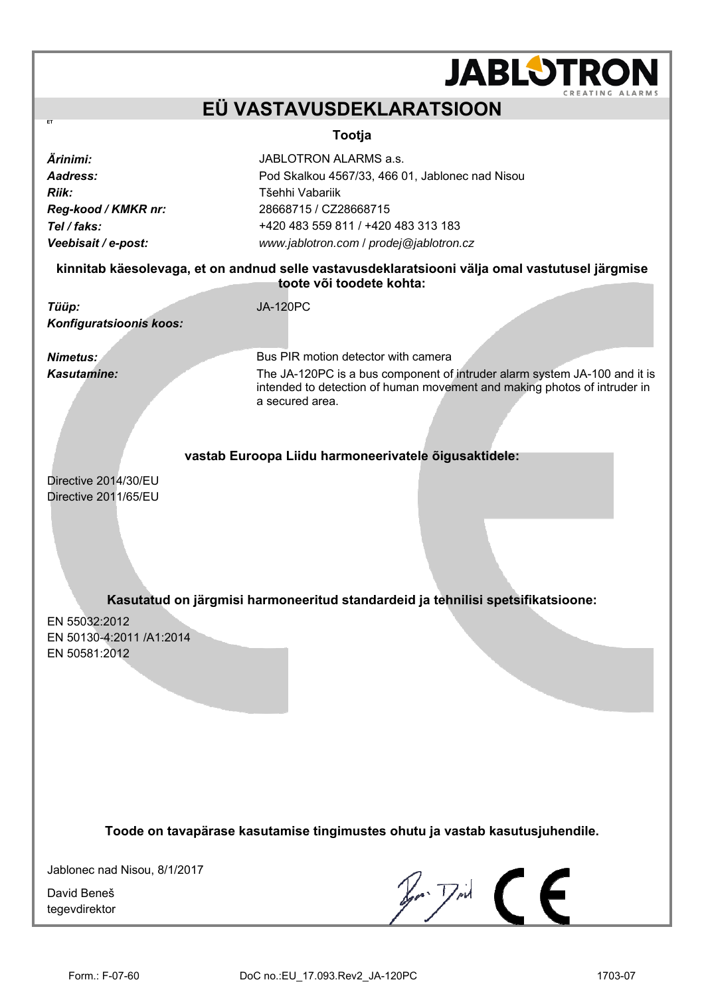## **JABLOTROI EÜ VASTAVUSDEKLARATSIOON Tootja** *Ärinimi:* JABLOTRON ALARMS a.s. *Aadress:* Pod Skalkou 4567/33, 466 01, Jablonec nad Nisou *Riik:* Tšehhi Vabariik *Reg-kood / KMKR nr:* 28668715 / CZ28668715 *Tel / faks:* +420 483 559 811 / +420 483 313 183 *Veebisait / e-post: [www.jablotron.com](http://www.jablotron.com/)* / *[prodej@jablotron.cz](mailto:prodej@jablotron.cz)* **kinnitab käesolevaga, et on andnud selle vastavusdeklaratsiooni välja omal vastutusel järgmise toote või toodete kohta:**  *Tüüp:* JA-120PC *Konfiguratsioonis koos: Nimetus:* **Bus PIR motion detector with camera** *Kasutamine:* The JA-120PC is a bus component of intruder alarm system JA-100 and it is intended to detection of human movement and making photos of intruder in a secured area. **vastab Euroopa Liidu harmoneerivatele õigusaktidele:**

Directive 2014/30/EU Directive 2011/65/EU

**ET** 

**Kasutatud on järgmisi harmoneeritud standardeid ja tehnilisi spetsifikatsioone:** 

EN 55032:2012 EN 50130-4:2011 /A1:2014 EN 50581:2012

**Toode on tavapärase kasutamise tingimustes ohutu ja vastab kasutusjuhendile.** 

Jablonec nad Nisou, 8/1/2017

David Beneš tegevdirektor

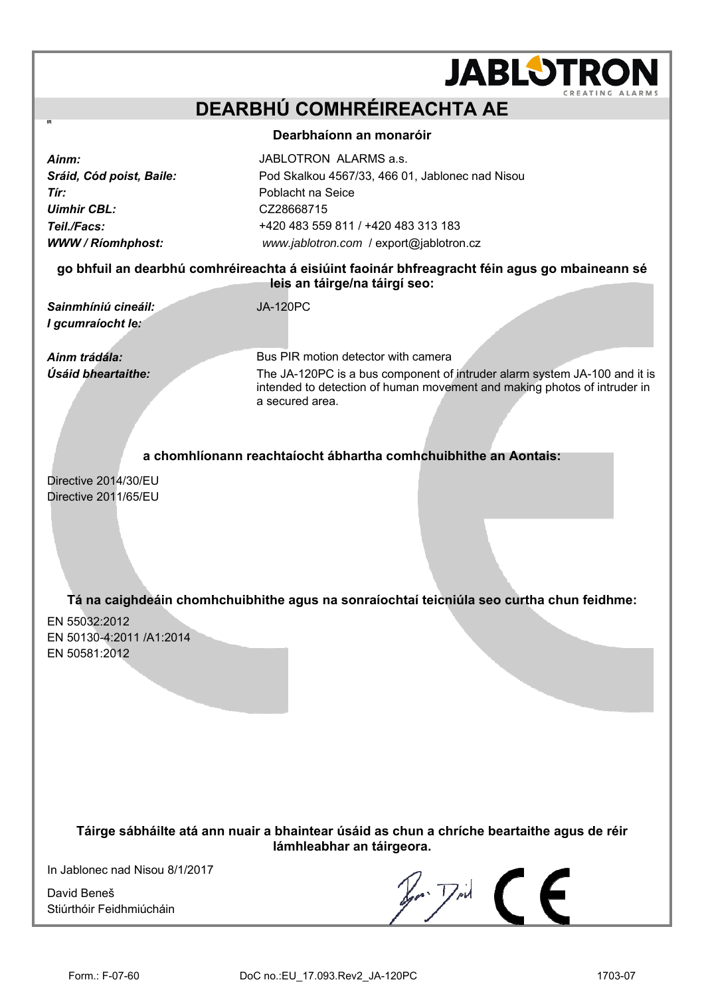# **JABLOTROI DEARBHÚ COMHRÉIREACHTA AE Dearbhaíonn an monaróir**

*Tír:* Poblacht na Seice *Uimhir CBL:* CZ28668715

**Ainm: JABLOTRON ALARMS a.s.** *Sráid, Cód poist, Baile:* Pod Skalkou 4567/33, 466 01, Jablonec nad Nisou *Teil./Facs:* +420 483 559 811 / +420 483 313 183 *WWW / Ríomhphost: [www.jablotron.com](http://www.jablotron.com/)* / [export@jablotron.cz](mailto:export@jablotron.cz)

### **go bhfuil an dearbhú comhréireachta á eisiúint faoinár bhfreagracht féin agus go mbaineann sé leis an táirge/na táirgí seo:**

*Sainmhíniú cineáil:* JA-120PC *I gcumraíocht le:* 

*Ainm trádála:* Bus PIR motion detector with camera *Úsáid bheartaithe:* The JA-120PC is a bus component of intruder alarm system JA-100 and it is intended to detection of human movement and making photos of intruder in a secured area.

## **a chomhlíonann reachtaíocht ábhartha comhchuibhithe an Aontais:**

Directive 2014/30/EU Directive 2011/65/EU

## **Tá na caighdeáin chomhchuibhithe agus na sonraíochtaí teicniúla seo curtha chun feidhme:**

EN 55032:2012 EN 50130-4:2011 /A1:2014 EN 50581:2012

> **Táirge sábháilte atá ann nuair a bhaintear úsáid as chun a chríche beartaithe agus de réir lámhleabhar an táirgeora.**

In Jablonec nad Nisou 8/1/2017

David Beneš Stiúrthóir Feidhmiúcháin

 $\mathbb{Z}$   $\mathbb{Z}$   $\subset$   $\subset$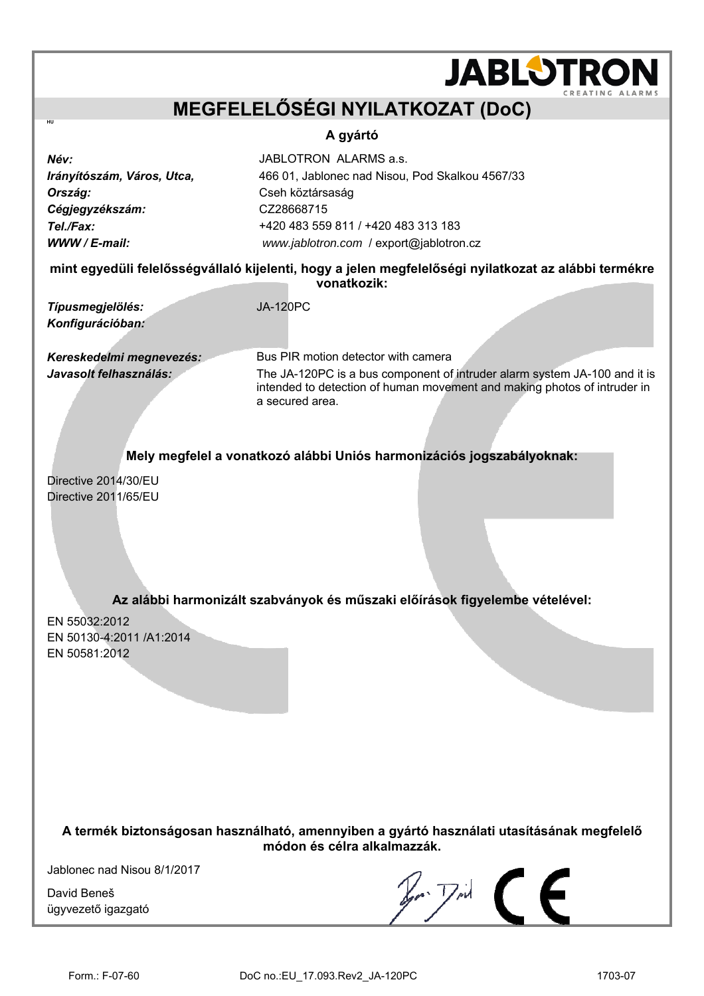## **MEGFELELŐSÉGI NYILATKOZAT (DoC)**

### **A gyártó**

*Név:* JABLOTRON ALARMS a.s. *Irányítószám, Város, Utca,* 466 01, Jablonec nad Nisou, Pod Skalkou 4567/33 **Ország: Cseh köztársaság** *Cégjegyzékszám:* CZ28668715 *Tel./Fax:* +420 483 559 811 / +420 483 313 183 *WWW / E-mail: [www.jablotron.com](http://www.jablotron.com/)* / [export@jablotron.cz](mailto:export@jablotron.cz)

**mint egyedüli felelősségvállaló kijelenti, hogy a jelen megfelelőségi nyilatkozat az alábbi termékre vonatkozik:** 

*Típusmegjelölés:* JA-120PC *Konfigurációban:* 

**HU** 

*Kereskedelmi megnevezés:* Bus PIR motion detector with camera

*Javasolt felhasználás:* The JA-120PC is a bus component of intruder alarm system JA-100 and it is intended to detection of human movement and making photos of intruder in a secured area.

**JABLOTROI** 

**Mely megfelel a vonatkozó alábbi Uniós harmonizációs jogszabályoknak:** 

Directive 2014/30/EU Directive 2011/65/EU

**Az alábbi harmonizált szabványok és műszaki előírások figyelembe vételével:** 

EN 55032:2012 EN 50130-4:2011 /A1:2014 EN 50581:2012

**A termék biztonságosan használható, amennyiben a gyártó használati utasításának megfelelő módon és célra alkalmazzák.** 

Jablonec nad Nisou 8/1/2017

David Beneš ügyvezető igazgató